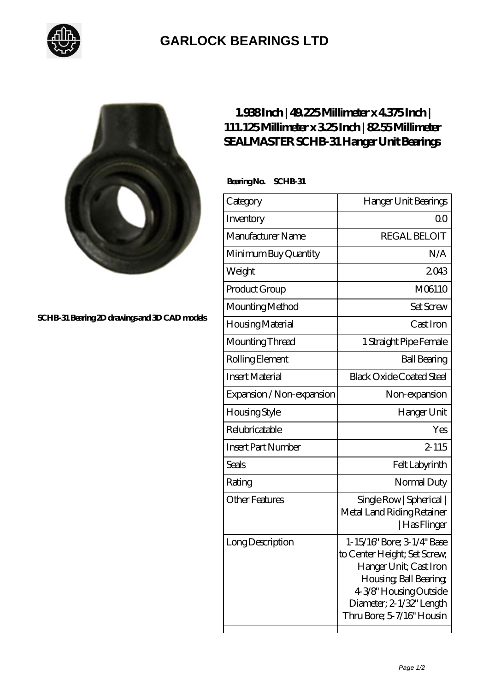

## **[GARLOCK BEARINGS LTD](https://m.letterstopriests.com)**



**[SCHB-31 Bearing 2D drawings and 3D CAD models](https://m.letterstopriests.com/pic-189003.html)**

## **[1.938 Inch | 49.225 Millimeter x 4.375 Inch |](https://m.letterstopriests.com/az-189003-sealmaster-schb-31-hanger-unit-bearings.html) [111.125 Millimeter x 3.25 Inch | 82.55 Millimeter](https://m.letterstopriests.com/az-189003-sealmaster-schb-31-hanger-unit-bearings.html) [SEALMASTER SCHB-31 Hanger Unit Bearings](https://m.letterstopriests.com/az-189003-sealmaster-schb-31-hanger-unit-bearings.html)**

 **Bearing No. SCHB-31**

| Category                  | Hanger Unit Bearings                                                                                                                                                                              |
|---------------------------|---------------------------------------------------------------------------------------------------------------------------------------------------------------------------------------------------|
| Inventory                 | 00                                                                                                                                                                                                |
| Manufacturer Name         | <b>REGAL BELOIT</b>                                                                                                                                                                               |
| Minimum Buy Quantity      | N/A                                                                                                                                                                                               |
| Weight                    | 2043                                                                                                                                                                                              |
| Product Group             | M06110                                                                                                                                                                                            |
| Mounting Method           | <b>Set Screw</b>                                                                                                                                                                                  |
| Housing Material          | Cast Iron                                                                                                                                                                                         |
| Mounting Thread           | 1 Straight Pipe Female                                                                                                                                                                            |
| Rolling Element           | <b>Ball Bearing</b>                                                                                                                                                                               |
| <b>Insert Material</b>    | <b>Black Oxide Coated Steel</b>                                                                                                                                                                   |
| Expansion / Non-expansion | Non-expansion                                                                                                                                                                                     |
| Housing Style             | Hanger Unit                                                                                                                                                                                       |
| Relubricatable            | Yes                                                                                                                                                                                               |
| <b>Insert Part Number</b> | $2 - 115$                                                                                                                                                                                         |
| <b>Seals</b>              | Felt Labyrinth                                                                                                                                                                                    |
| Rating                    | Normal Duty                                                                                                                                                                                       |
| <b>Other Features</b>     | Single Row   Spherical  <br>Metal Land Riding Retainer<br>  Has Flinger                                                                                                                           |
| Long Description          | 1-15/16" Bore; 3-1/4" Base<br>to Center Height; Set Screw,<br>Hanger Unit; Cast Iron<br>Housing, Ball Bearing,<br>4-3/8" Housing Outside<br>Diameter; 2-1/32" Length<br>Thru Bore; 5-7/16" Housin |